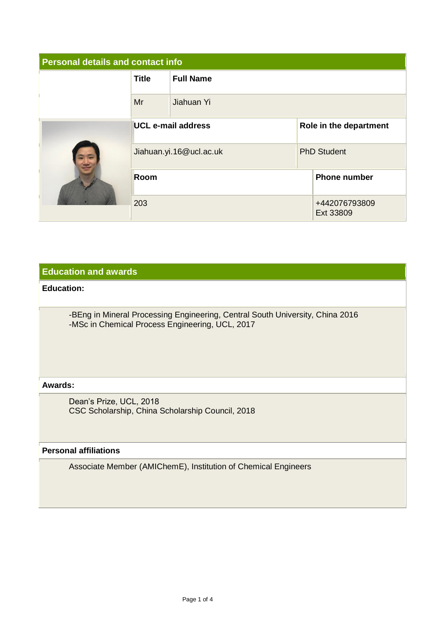| <b>Personal details and contact info</b> |                           |                  |                        |                            |  |  |
|------------------------------------------|---------------------------|------------------|------------------------|----------------------------|--|--|
|                                          | <b>Title</b>              | <b>Full Name</b> |                        |                            |  |  |
|                                          | Mr                        | Jiahuan Yi       |                        |                            |  |  |
|                                          | <b>UCL e-mail address</b> |                  | Role in the department |                            |  |  |
|                                          | Jiahuan.yi.16@ucl.ac.uk   |                  | <b>PhD Student</b>     |                            |  |  |
|                                          | <b>Room</b>               |                  | <b>Phone number</b>    |                            |  |  |
|                                          | 203                       |                  |                        | +442076793809<br>Ext 33809 |  |  |

## **Education and awards**

## **Education:**

-BEng in Mineral Processing Engineering, Central South University, China 2016 -MSc in Chemical Process Engineering, UCL, 2017

#### **Awards:**

Dean's Prize, UCL, 2018 CSC Scholarship, China Scholarship Council, 2018

# **Personal affiliations**

Associate Member (AMIChemE), Institution of Chemical Engineers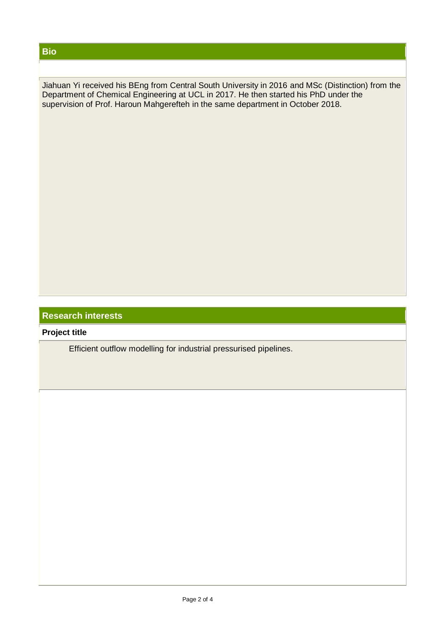## **Bio**

Jiahuan Yi received his BEng from Central South University in 2016 and MSc (Distinction) from the Department of Chemical Engineering at UCL in 2017. He then started his PhD under the supervision of Prof. Haroun Mahgerefteh in the same department in October 2018.

# **Research interests**

**Project title**

Efficient outflow modelling for industrial pressurised pipelines.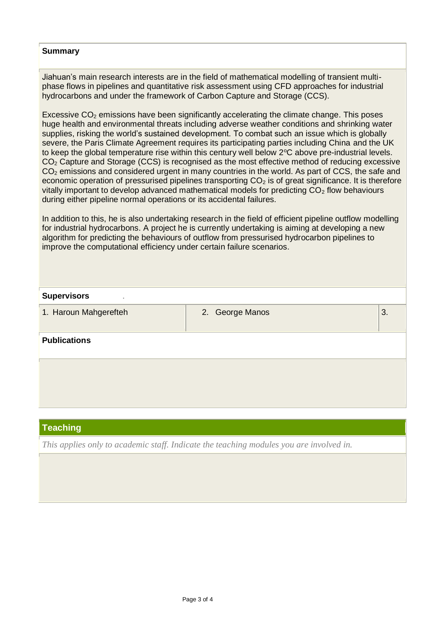#### **Summary**

Jiahuan's main research interests are in the field of mathematical modelling of transient multiphase flows in pipelines and quantitative risk assessment using CFD approaches for industrial hydrocarbons and under the framework of Carbon Capture and Storage (CCS).

Excessive  $CO<sub>2</sub>$  emissions have been significantly accelerating the climate change. This poses huge health and environmental threats including adverse weather conditions and shrinking water supplies, risking the world's sustained development. To combat such an issue which is globally severe, the Paris Climate Agreement requires its participating parties including China and the UK to keep the global temperature rise within this century well below  $2^{\circ}C$  above pre-industrial levels. CO<sup>2</sup> Capture and Storage (CCS) is recognised as the most effective method of reducing excessive CO<sub>2</sub> emissions and considered urgent in many countries in the world. As part of CCS, the safe and economic operation of pressurised pipelines transporting  $CO<sub>2</sub>$  is of great significance. It is therefore vitally important to develop advanced mathematical models for predicting  $CO<sub>2</sub>$  flow behaviours during either pipeline normal operations or its accidental failures.

In addition to this, he is also undertaking research in the field of efficient pipeline outflow modelling for industrial hydrocarbons. A project he is currently undertaking is aiming at developing a new algorithm for predicting the behaviours of outflow from pressurised hydrocarbon pipelines to improve the computational efficiency under certain failure scenarios.

| <b>Supervisors</b>    |                 |    |
|-----------------------|-----------------|----|
| 1. Haroun Mahgerefteh | 2. George Manos | 3. |
| <b>Publications</b>   |                 |    |
|                       |                 |    |
|                       |                 |    |

# **Teaching**

*This applies only to academic staff. Indicate the teaching modules you are involved in.*